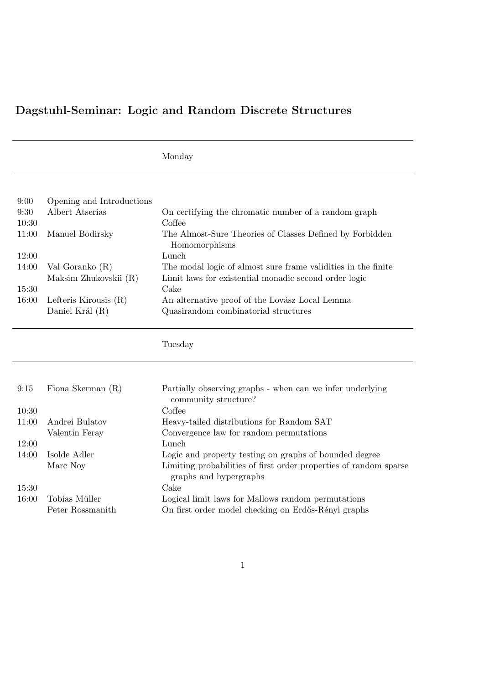## Dagstuhl-Seminar: Logic and Random Discrete Structures

| vionda: |
|---------|
|---------|

| Opening and Introductions |                                                               |
|---------------------------|---------------------------------------------------------------|
| Albert Atserias           | On certifying the chromatic number of a random graph          |
|                           | Coffee                                                        |
| Manuel Bodirsky           | The Almost-Sure Theories of Classes Defined by Forbidden      |
|                           | Homomorphisms                                                 |
|                           | Lunch                                                         |
| Val Goranko $(R)$         | The modal logic of almost sure frame validities in the finite |
| Maksim Zhukovskii (R)     | Limit laws for existential monadic second order logic         |
|                           | Cake                                                          |
| Lefteris Kirousis $(R)$   | An alternative proof of the Lovász Local Lemma                |
| Daniel Král (R)           | Quasirandom combinatorial structures                          |
|                           |                                                               |

Tuesday

| 9:15  | Fiona Skerman $(R)$ | Partially observing graphs - when can we infer underlying<br>community structure?           |
|-------|---------------------|---------------------------------------------------------------------------------------------|
|       |                     |                                                                                             |
| 10:30 |                     | Coffee                                                                                      |
| 11:00 | Andrei Bulatov      | Heavy-tailed distributions for Random SAT                                                   |
|       | Valentin Feray      | Convergence law for random permutations                                                     |
| 12:00 |                     | Lunch                                                                                       |
| 14:00 | Isolde Adler        | Logic and property testing on graphs of bounded degree                                      |
|       | Marc Noy            | Limiting probabilities of first order properties of random sparse<br>graphs and hypergraphs |
| 15:30 |                     | Cake                                                                                        |
| 16:00 | Tobias Müller       | Logical limit laws for Mallows random permutations                                          |
|       | Peter Rossmanith    | On first order model checking on Erdős-Rényi graphs                                         |